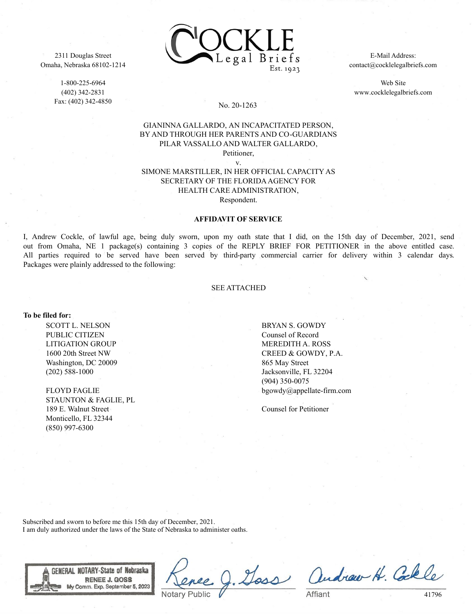

1-800-225-6964 (402) 342-2831 Fax: (402) 342-4850



E-Mail Address: contact@cocklelegalbriefs.com

Web Site www.cocklelegalbriefs.com

## No. 20-1263

## GIANINNA GALLARDO, AN INCAPACITATED PERSON, BY AND THROUGH HER PARENTS AND CO-GUARDIANS PILAR VASSALLO AND WALTER GALLARDO,

Petitioner, v.

SIMONE MARSTILLER, IN HER OFFICIAL CAPACITY AS SECRETARY OF THE FLORIDA AGENCY FOR HEALTH CARE ADMINISTRATION, Respondent.

**AFFIDAVIT OF SERVICE**

I, Andrew Cockle, of lawful age, being duly sworn, upon my oath state that I did, on the 15th day of December, 2021, send out from Omaha, NE 1 package(s) containing 3 copies of the REPLY BRIEF FOR PETITIONER in the above entitled case. All parties required to be served have been served by third-party commercial carrier for delivery within 3 calendar days. Packages were plainly addressed to the following:

## SEE ATTACHED

**To be filed for:**

SCOTT L. NELSON PUBLIC CITIZEN LITIGATION GROUP 1600 20th Street NW Washington, DC 20009 (202) 588-1000

FLOYD FAGLIE STAUNTON & FAGLIE, PL 189 E. Walnut Street Monticello, FL 32344 (850) 997-6300

BRYAN S. GOWDY Counsel of Record MEREDITH A. ROSS CREED & GOWDY, P.A. 865 May Street Jacksonville, FL 32204 (904) 350-0075 bgowdy@appellate-firm.com

Counsel for Petitioner

Subscribed and sworn to before me this 15th day of December, 2021. I am duly authorized under the laws of the State of Nebraska to administer oaths.



Goss andrew H. Colle

41796